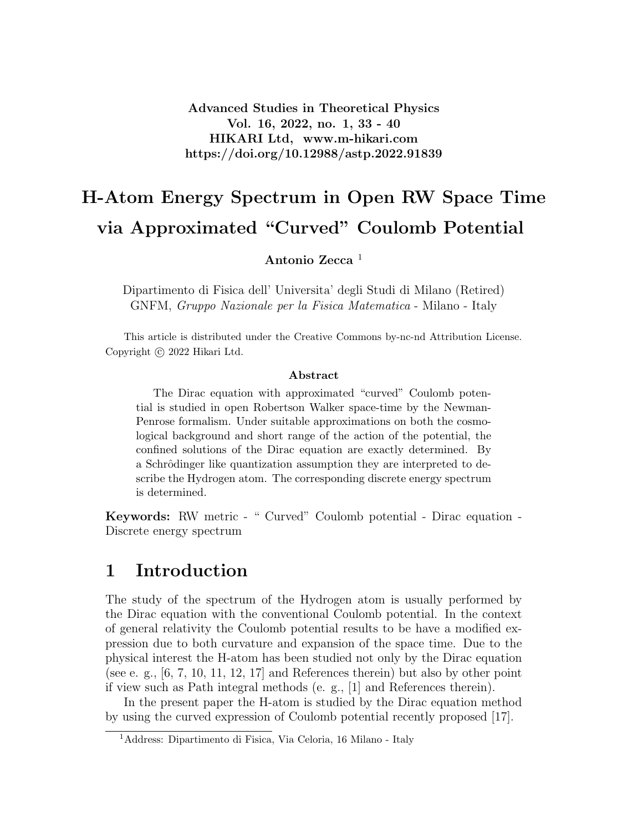Advanced Studies in Theoretical Physics Vol. 16, 2022, no. 1, 33 - 40 HIKARI Ltd, www.m-hikari.com https://doi.org/10.12988/astp.2022.91839

# H-Atom Energy Spectrum in Open RW Space Time via Approximated "Curved" Coulomb Potential

Antonio Zecca<sup>1</sup>

Dipartimento di Fisica dell' Universita' degli Studi di Milano (Retired) GNFM, Gruppo Nazionale per la Fisica Matematica - Milano - Italy

This article is distributed under the Creative Commons by-nc-nd Attribution License. Copyright © 2022 Hikari Ltd.

#### Abstract

The Dirac equation with approximated "curved" Coulomb potential is studied in open Robertson Walker space-time by the Newman-Penrose formalism. Under suitable approximations on both the cosmological background and short range of the action of the potential, the confined solutions of the Dirac equation are exactly determined. By a Schrôdinger like quantization assumption they are interpreted to describe the Hydrogen atom. The corresponding discrete energy spectrum is determined.

Keywords: RW metric - " Curved" Coulomb potential - Dirac equation - Discrete energy spectrum

#### 1 Introduction

The study of the spectrum of the Hydrogen atom is usually performed by the Dirac equation with the conventional Coulomb potential. In the context of general relativity the Coulomb potential results to be have a modified expression due to both curvature and expansion of the space time. Due to the physical interest the H-atom has been studied not only by the Dirac equation (see e. g.,  $[6, 7, 10, 11, 12, 17]$  and References therein) but also by other point if view such as Path integral methods (e. g., [1] and References therein).

In the present paper the H-atom is studied by the Dirac equation method by using the curved expression of Coulomb potential recently proposed [17].

<sup>1</sup>Address: Dipartimento di Fisica, Via Celoria, 16 Milano - Italy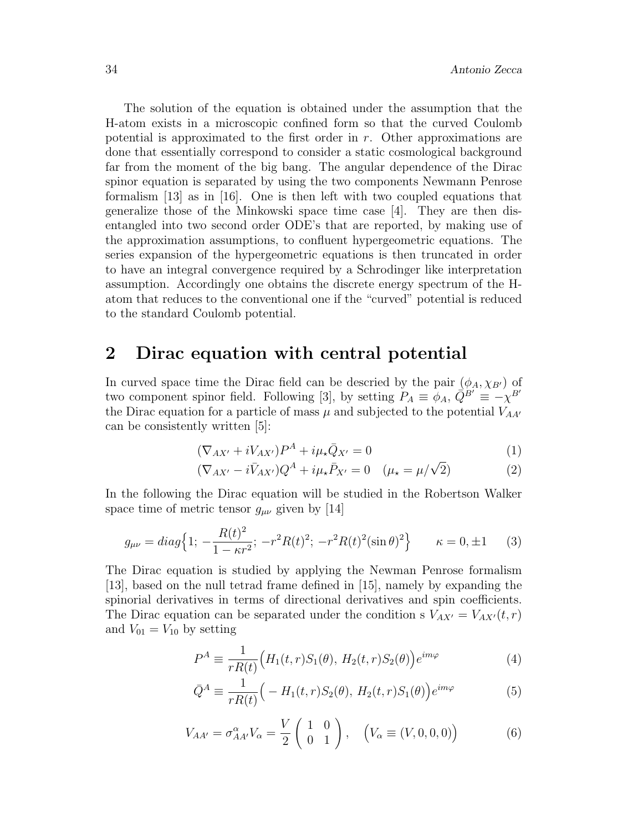The solution of the equation is obtained under the assumption that the H-atom exists in a microscopic confined form so that the curved Coulomb potential is approximated to the first order in  $r$ . Other approximations are done that essentially correspond to consider a static cosmological background far from the moment of the big bang. The angular dependence of the Dirac spinor equation is separated by using the two components Newmann Penrose formalism [13] as in [16]. One is then left with two coupled equations that generalize those of the Minkowski space time case [4]. They are then disentangled into two second order ODE's that are reported, by making use of the approximation assumptions, to confluent hypergeometric equations. The series expansion of the hypergeometric equations is then truncated in order to have an integral convergence required by a Schrodinger like interpretation assumption. Accordingly one obtains the discrete energy spectrum of the Hatom that reduces to the conventional one if the "curved" potential is reduced to the standard Coulomb potential.

#### 2 Dirac equation with central potential

In curved space time the Dirac field can be descried by the pair  $(\phi_A, \chi_{B})$  of two component spinor field. Following [3], by setting  $P_A = \phi_A$ ,  $\overline{Q}^{B'} = -\chi^{B'}$ the Dirac equation for a particle of mass  $\mu$  and subjected to the potential  $V_{AA'}$ can be consistently written [5]:

$$
(\nabla_{AX'} + iV_{AX'})P^A + i\mu_\star \bar{Q}_{X'} = 0 \tag{1}
$$

$$
(\nabla_{AX'} - i\bar{V}_{AX'})\mathcal{Q}^A + i\mu_\star \bar{P}_{X'} = 0 \quad (\mu_\star = \mu/\sqrt{2})
$$
(2)

In the following the Dirac equation will be studied in the Robertson Walker space time of metric tensor  $g_{\mu\nu}$  given by [14]

$$
g_{\mu\nu} = diag\Big\{1; -\frac{R(t)^2}{1 - \kappa r^2}; -r^2 R(t)^2; -r^2 R(t)^2 (\sin \theta)^2\Big\} \qquad \kappa = 0, \pm 1 \tag{3}
$$

The Dirac equation is studied by applying the Newman Penrose formalism [13], based on the null tetrad frame defined in [15], namely by expanding the spinorial derivatives in terms of directional derivatives and spin coefficients. The Dirac equation can be separated under the condition s  $V_{AX'} = V_{AX'}(t, r)$ and  $V_{01} = V_{10}$  by setting

$$
P^{A} \equiv \frac{1}{rR(t)} \Big( H_{1}(t, r)S_{1}(\theta), H_{2}(t, r)S_{2}(\theta) \Big) e^{im\varphi}
$$
(4)

$$
\bar{Q}^A \equiv \frac{1}{rR(t)} \Big( -H_1(t, r)S_2(\theta), H_2(t, r)S_1(\theta) \Big) e^{im\varphi} \tag{5}
$$

$$
V_{AA'} = \sigma_{AA'}^{\alpha} V_{\alpha} = \frac{V}{2} \begin{pmatrix} 1 & 0 \\ 0 & 1 \end{pmatrix}, \quad \left(V_{\alpha} \equiv (V, 0, 0, 0)\right) \tag{6}
$$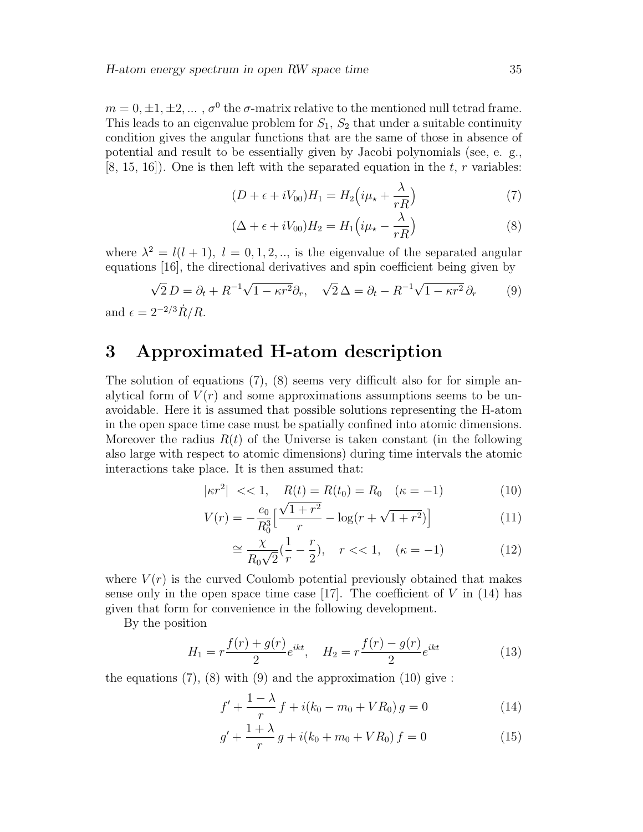$m = 0, \pm 1, \pm 2, \dots, \sigma^0$  the  $\sigma$ -matrix relative to the mentioned null tetrad frame. This leads to an eigenvalue problem for  $S_1$ ,  $S_2$  that under a suitable continuity condition gives the angular functions that are the same of those in absence of potential and result to be essentially given by Jacobi polynomials (see, e. g.,  $[8, 15, 16]$ . One is then left with the separated equation in the t, r variables:

$$
(D + \epsilon + iV_{00})H_1 = H_2\left(i\mu_\star + \frac{\lambda}{rR}\right) \tag{7}
$$

$$
(\Delta + \epsilon + iV_{00})H_2 = H_1(i\mu_\star - \frac{\lambda}{rR})
$$
\n(8)

where  $\lambda^2 = l(l+1), l = 0, 1, 2, \dots$ , is the eigenvalue of the separated angular equations [16], the directional derivatives and spin coefficient being given by

$$
\sqrt{2} D = \partial_t + R^{-1} \sqrt{1 - \kappa r^2} \partial_r, \quad \sqrt{2} \Delta = \partial_t - R^{-1} \sqrt{1 - \kappa r^2} \partial_r \tag{9}
$$

and  $\epsilon = 2^{-2/3} \dot{R}/R$ .

### 3 Approximated H-atom description

The solution of equations (7), (8) seems very difficult also for for simple analytical form of  $V(r)$  and some approximations assumptions seems to be unavoidable. Here it is assumed that possible solutions representing the H-atom in the open space time case must be spatially confined into atomic dimensions. Moreover the radius  $R(t)$  of the Universe is taken constant (in the following also large with respect to atomic dimensions) during time intervals the atomic interactions take place. It is then assumed that:

$$
|\kappa r^2| \, << 1, \quad R(t) = R(t_0) = R_0 \quad (\kappa = -1) \tag{10}
$$

$$
V(r) = -\frac{e_0}{R_0^3} \left[ \frac{\sqrt{1+r^2}}{r} - \log(r + \sqrt{1+r^2}) \right]
$$
 (11)

$$
\cong \frac{\chi}{R_0\sqrt{2}}(\frac{1}{r} - \frac{r}{2}), \quad r \ll 1, \quad (\kappa = -1)
$$
 (12)

where  $V(r)$  is the curved Coulomb potential previously obtained that makes sense only in the open space time case [17]. The coefficient of  $V$  in (14) has given that form for convenience in the following development.

By the position

$$
H_1 = r \frac{f(r) + g(r)}{2} e^{ikt}, \quad H_2 = r \frac{f(r) - g(r)}{2} e^{ikt}
$$
 (13)

the equations  $(7)$ ,  $(8)$  with  $(9)$  and the approximation  $(10)$  give:

$$
f' + \frac{1 - \lambda}{r} f + i(k_0 - m_0 + VR_0) g = 0
$$
\n(14)

$$
g' + \frac{1+\lambda}{r}g + i(k_0 + m_0 + VR_0) f = 0
$$
\n(15)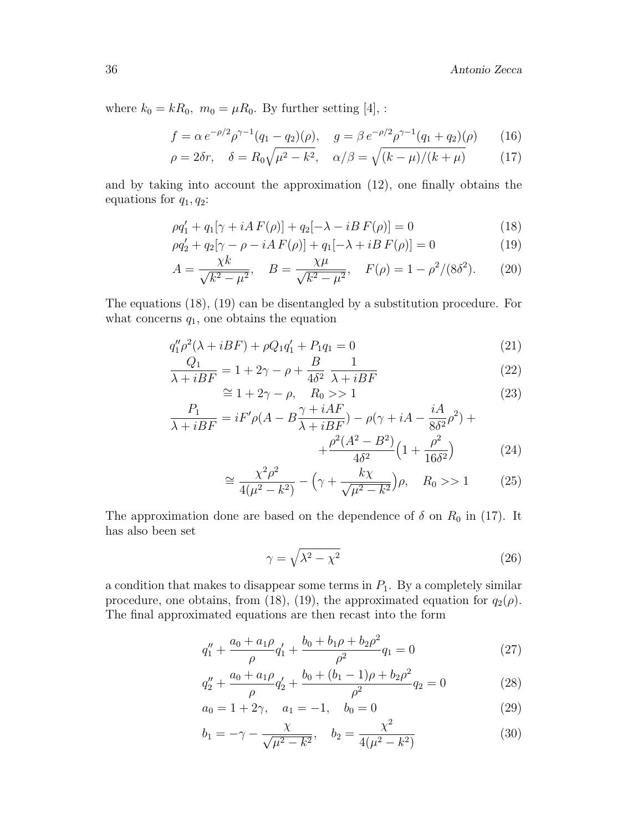where  $k_0 = kR_0$ ,  $m_0 = \mu R_0$ . By further setting [4], :

$$
f = \alpha e^{-\rho/2} \rho^{\gamma - 1} (q_1 - q_2)(\rho), \quad g = \beta e^{-\rho/2} \rho^{\gamma - 1} (q_1 + q_2)(\rho) \tag{16}
$$

$$
\rho = 2\delta r, \quad \delta = R_0 \sqrt{\mu^2 - k^2}, \quad \alpha/\beta = \sqrt{(k - \mu)/(k + \mu)} \tag{17}
$$

and by taking into account the approximation (12), one finally obtains the equations for  $q_1, q_2$ :

$$
\rho q_1' + q_1[\gamma + iA F(\rho)] + q_2[-\lambda - iB F(\rho)] = 0 \tag{18}
$$

$$
\rho q_2' + q_2 [\gamma - \rho - iA F(\rho)] + q_1 [-\lambda + iB F(\rho)] = 0
$$
\n(19)

$$
A = \frac{\chi k}{\sqrt{k^2 - \mu^2}}, \quad B = \frac{\chi \mu}{\sqrt{k^2 - \mu^2}}, \quad F(\rho) = 1 - \rho^2/(8\delta^2). \tag{20}
$$

The equations (18), (19) can be disentangled by a substitution procedure. For what concerns  $q_1$ , one obtains the equation

$$
q_1''\rho^2(\lambda + iBF) + \rho Q_1 q_1' + P_1 q_1 = 0
$$
\n(21)

$$
\frac{Q_1}{\lambda + iBF} = 1 + 2\gamma - \rho + \frac{B}{4\delta^2} \frac{1}{\lambda + iBF}
$$
\n(22)

$$
\cong 1 + 2\gamma - \rho, \quad R_0 > 1
$$
\n
$$
P. \tag{23}
$$

$$
\frac{P_1}{\lambda + iBF} = iF'\rho(A - B\frac{\gamma + iAF}{\lambda + iBF}) - \rho(\gamma + iA - \frac{iA}{8\delta^2}\rho^2) + \frac{\rho^2(A^2 - B^2)}{4\delta^2}\left(1 + \frac{\rho^2}{16\delta^2}\right) \tag{24}
$$

$$
\cong \frac{\chi^2 \rho^2}{4(\mu^2 - k^2)} - \left(\gamma + \frac{k\chi}{\sqrt{\mu^2 - k^2}}\right)\rho, \quad R_0 > 1 \tag{25}
$$

The approximation done are based on the dependence of  $\delta$  on  $R_0$  in (17). It has also been set

$$
\gamma = \sqrt{\lambda^2 - \chi^2} \tag{26}
$$

a condition that makes to disappear some terms in  $P_1$ . By a completely similar procedure, one obtains, from (18), (19), the approximated equation for  $q_2(\rho)$ . The final approximated equations are then recast into the form

$$
q_1'' + \frac{a_0 + a_1 \rho}{\rho} q_1' + \frac{b_0 + b_1 \rho + b_2 \rho^2}{\rho^2} q_1 = 0 \tag{27}
$$

$$
q_2'' + \frac{a_0 + a_1 \rho}{\rho} q_2' + \frac{b_0 + (b_1 - 1)\rho + b_2 \rho^2}{\rho^2} q_2 = 0 \tag{28}
$$

$$
a_0 = 1 + 2\gamma, \quad a_1 = -1, \quad b_0 = 0 \tag{29}
$$

$$
b_1 = -\gamma - \frac{\chi}{\sqrt{\mu^2 - k^2}}, \quad b_2 = \frac{\chi^2}{4(\mu^2 - k^2)}\tag{30}
$$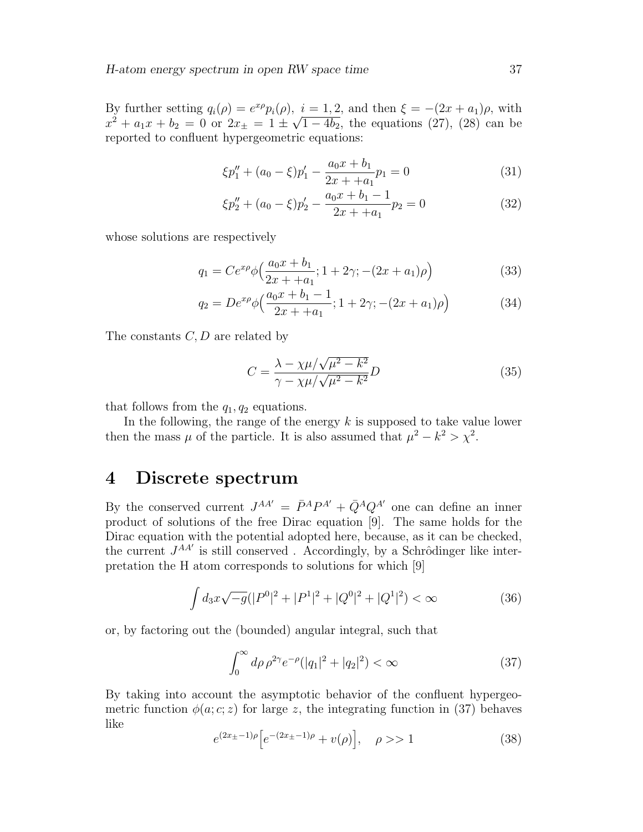By further setting  $q_i(\rho) = e^{x\rho}p_i(\rho)$ ,  $i = 1, 2$ , and then  $\xi = -(2x + a_1)\rho$ , with  $x^2 + a_1x + b_2 = 0$  or  $2x_{\pm} = 1 \pm \sqrt{1 - 4b_2}$ , the equations (27), (28) can be reported to confluent hypergeometric equations:

$$
\xi p_1'' + (a_0 - \xi) p_1' - \frac{a_0 x + b_1}{2x + a_1} p_1 = 0 \tag{31}
$$

$$
\xi p_2'' + (a_0 - \xi)p_2' - \frac{a_0 x + b_1 - 1}{2x + a_1}p_2 = 0
$$
\n(32)

whose solutions are respectively

$$
q_1 = Ce^{x\rho}\phi\left(\frac{a_0x + b_1}{2x + a_1}; 1 + 2\gamma; -(2x + a_1)\rho\right)
$$
\n(33)

$$
q_2 = De^{x\rho}\phi\Big(\frac{a_0x + b_1 - 1}{2x + + a_1}; 1 + 2\gamma; -(2x + a_1)\rho\Big) \tag{34}
$$

The constants  $C, D$  are related by

$$
C = \frac{\lambda - \chi \mu / \sqrt{\mu^2 - k^2}}{\gamma - \chi \mu / \sqrt{\mu^2 - k^2}} D \tag{35}
$$

that follows from the  $q_1, q_2$  equations.

In the following, the range of the energy  $k$  is supposed to take value lower then the mass  $\mu$  of the particle. It is also assumed that  $\mu^2 - k^2 > \chi^2$ .

#### 4 Discrete spectrum

By the conserved current  $J^{AA'} = \bar{P}^A P^{A'} + \bar{Q}^A Q^{A'}$  one can define an inner product of solutions of the free Dirac equation [9]. The same holds for the Dirac equation with the potential adopted here, because, as it can be checked, the current  $J^{AA'}$  is still conserved . Accordingly, by a Schrôdinger like interpretation the H atom corresponds to solutions for which [9]

$$
\int d_3x \sqrt{-g} (|P^0|^2 + |P^1|^2 + |Q^0|^2 + |Q^1|^2) < \infty \tag{36}
$$

or, by factoring out the (bounded) angular integral, such that

$$
\int_0^\infty d\rho \,\rho^{2\gamma} e^{-\rho} (|q_1|^2 + |q_2|^2) < \infty \tag{37}
$$

By taking into account the asymptotic behavior of the confluent hypergeometric function  $\phi(a; c; z)$  for large z, the integrating function in (37) behaves like

$$
e^{(2x_{\pm}-1)\rho}\left[e^{-(2x_{\pm}-1)\rho}+v(\rho)\right], \quad \rho >> 1
$$
 (38)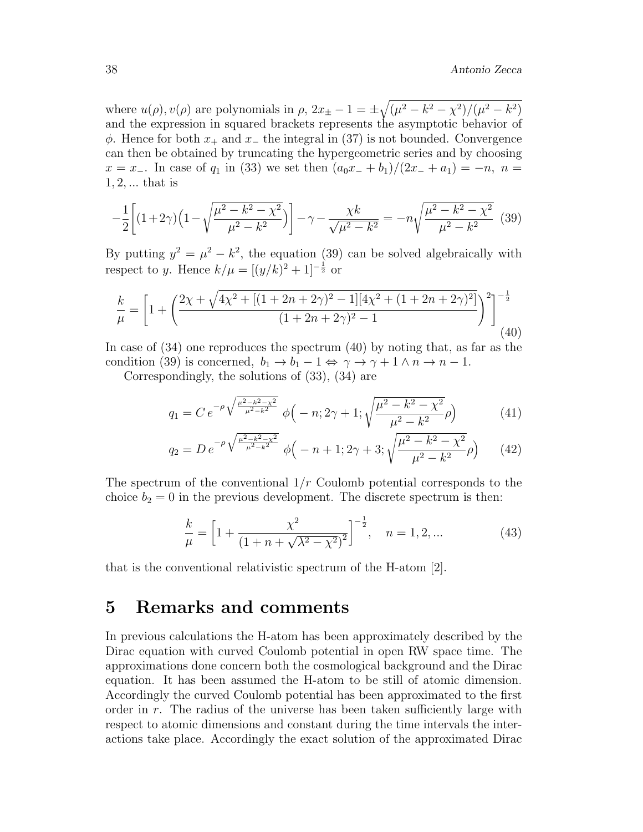where  $u(\rho)$ ,  $v(\rho)$  are polynomials in  $\rho$ ,  $2x_{\pm} - 1 = \pm \sqrt{(\mu^2 - k^2 - \chi^2)/(\mu^2 - k^2)}$ and the expression in squared brackets represents the asymptotic behavior of  $\phi$ . Hence for both  $x_+$  and  $x_-$  the integral in (37) is not bounded. Convergence can then be obtained by truncating the hypergeometric series and by choosing  $x = x_-\.$  In case of  $q_1$  in (33) we set then  $(a_0x_+ + b_1)/(2x_+ + a_1) = -n, n =$  $1, 2, \ldots$  that is

$$
-\frac{1}{2}\left[ (1+2\gamma)\left(1-\sqrt{\frac{\mu^2-k^2-\chi^2}{\mu^2-k^2}}\right) \right] - \gamma - \frac{\chi k}{\sqrt{\mu^2-k^2}} = -n\sqrt{\frac{\mu^2-k^2-\chi^2}{\mu^2-k^2}} \tag{39}
$$

By putting  $y^2 = \mu^2 - k^2$ , the equation (39) can be solved algebraically with respect to y. Hence  $k/\mu = [(y/k)^2 + 1]^{-\frac{1}{2}}$  or

$$
\frac{k}{\mu} = \left[1 + \left(\frac{2\chi + \sqrt{4\chi^2 + [(1 + 2n + 2\gamma)^2 - 1][4\chi^2 + (1 + 2n + 2\gamma)^2]}}{(1 + 2n + 2\gamma)^2 - 1}\right)^2\right]^{-\frac{1}{2}}
$$
(40)

In case of (34) one reproduces the spectrum (40) by noting that, as far as the condition (39) is concerned,  $b_1 \rightarrow b_1 - 1 \Leftrightarrow \gamma \rightarrow \gamma + 1 \wedge n \rightarrow n - 1$ .

Correspondingly, the solutions of (33), (34) are

$$
q_1 = C e^{-\rho \sqrt{\frac{\mu^2 - k^2 - \chi^2}{\mu^2 - k^2}}} \phi(-n; 2\gamma + 1; \sqrt{\frac{\mu^2 - k^2 - \chi^2}{\mu^2 - k^2}} \rho)
$$
(41)

$$
q_2 = D e^{-\rho \sqrt{\frac{\mu^2 - k^2 - \chi^2}{\mu^2 - k^2}}} \phi \left( -n + 1; 2\gamma + 3; \sqrt{\frac{\mu^2 - k^2 - \chi^2}{\mu^2 - k^2}} \rho \right) \tag{42}
$$

The spectrum of the conventional  $1/r$  Coulomb potential corresponds to the choice  $b_2 = 0$  in the previous development. The discrete spectrum is then:

$$
\frac{k}{\mu} = \left[1 + \frac{\chi^2}{\left(1 + n + \sqrt{\lambda^2 - \chi^2}\right)^2}\right]^{-\frac{1}{2}}, \quad n = 1, 2, \dots
$$
\n(43)

that is the conventional relativistic spectrum of the H-atom [2].

### 5 Remarks and comments

In previous calculations the H-atom has been approximately described by the Dirac equation with curved Coulomb potential in open RW space time. The approximations done concern both the cosmological background and the Dirac equation. It has been assumed the H-atom to be still of atomic dimension. Accordingly the curved Coulomb potential has been approximated to the first order in  $r$ . The radius of the universe has been taken sufficiently large with respect to atomic dimensions and constant during the time intervals the interactions take place. Accordingly the exact solution of the approximated Dirac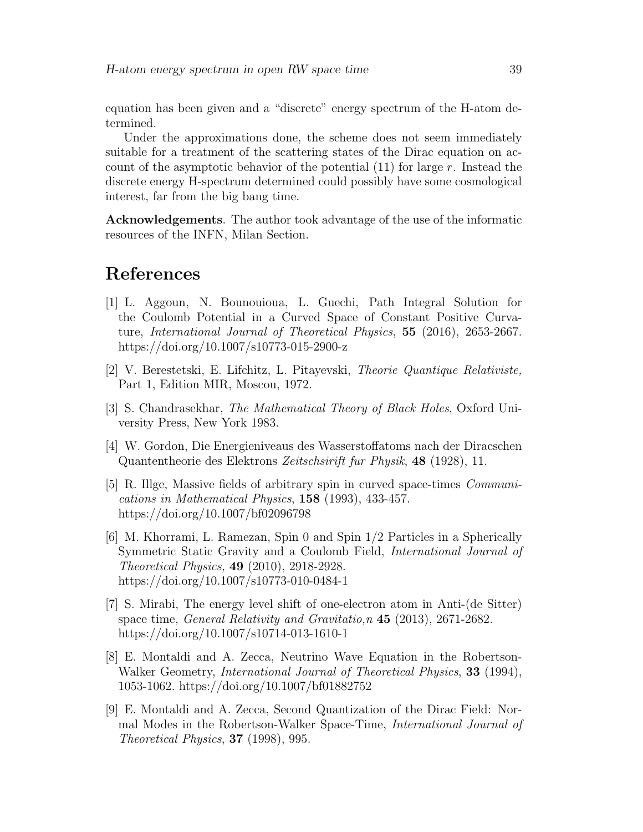equation has been given and a "discrete" energy spectrum of the H-atom determined.

Under the approximations done, the scheme does not seem immediately suitable for a treatment of the scattering states of the Dirac equation on account of the asymptotic behavior of the potential  $(11)$  for large r. Instead the discrete energy H-spectrum determined could possibly have some cosmological interest, far from the big bang time.

Acknowledgements. The author took advantage of the use of the informatic resources of the INFN, Milan Section.

## References

- [1] L. Aggoun, N. Bounouioua, L. Guechi, Path Integral Solution for the Coulomb Potential in a Curved Space of Constant Positive Curvature, International Journal of Theoretical Physics, 55 (2016), 2653-2667. https://doi.org/10.1007/s10773-015-2900-z
- [2] V. Berestetski, E. Lifchitz, L. Pitayevski, Theorie Quantique Relativiste, Part 1, Edition MIR, Moscou, 1972.
- [3] S. Chandrasekhar, The Mathematical Theory of Black Holes, Oxford University Press, New York 1983.
- [4] W. Gordon, Die Energieniveaus des Wasserstoffatoms nach der Diracschen Quantentheorie des Elektrons Zeitschsirift fur Physik, 48 (1928), 11.
- [5] R. Illge, Massive fields of arbitrary spin in curved space-times Communications in Mathematical Physics, 158 (1993), 433-457. https://doi.org/10.1007/bf02096798
- [6] M. Khorrami, L. Ramezan, Spin 0 and Spin 1/2 Particles in a Spherically Symmetric Static Gravity and a Coulomb Field, International Journal of Theoretical Physics, 49 (2010), 2918-2928. https://doi.org/10.1007/s10773-010-0484-1
- [7] S. Mirabi, The energy level shift of one-electron atom in Anti-(de Sitter) space time, General Relativity and Gravitatio,n 45 (2013), 2671-2682. https://doi.org/10.1007/s10714-013-1610-1
- [8] E. Montaldi and A. Zecca, Neutrino Wave Equation in the Robertson-Walker Geometry, *International Journal of Theoretical Physics*, **33** (1994), 1053-1062. https://doi.org/10.1007/bf01882752
- [9] E. Montaldi and A. Zecca, Second Quantization of the Dirac Field: Normal Modes in the Robertson-Walker Space-Time, International Journal of Theoretical Physics, 37 (1998), 995.